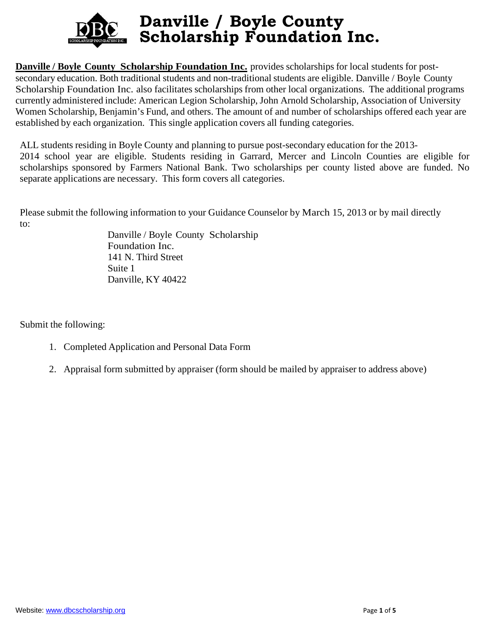

**Danville / Boyle County Scholarship Foundation Inc.** provides scholarships for local students for postsecondary education. Both traditional students and non-traditional students are eligible. Danville / Boyle County Scholarship Foundation Inc. also facilitates scholarships from other local organizations. The additional programs currently administered include: American Legion Scholarship, John Arnold Scholarship, Association of University Women Scholarship, Benjamin's Fund, and others. The amount of and number of scholarships offered each year are established by each organization. This single application covers all funding categories.

ALL students residing in Boyle County and planning to pursue post-secondary education for the 2013- 2014 school year are eligible. Students residing in Garrard, Mercer and Lincoln Counties are eligible for scholarships sponsored by Farmers National Bank. Two scholarships per county listed above are funded. No separate applications are necessary. This form covers all categories.

Please submit the following information to your Guidance Counselor by March 15, 2013 or by mail directly to:

Danville / Boyle County Scholarship Foundation Inc. 141 N. Third Street Suite 1 Danville, KY 40422

Submit the following:

- 1. Completed Application and Personal Data Form
- 2. Appraisal form submitted by appraiser (form should be mailed by appraiser to address above)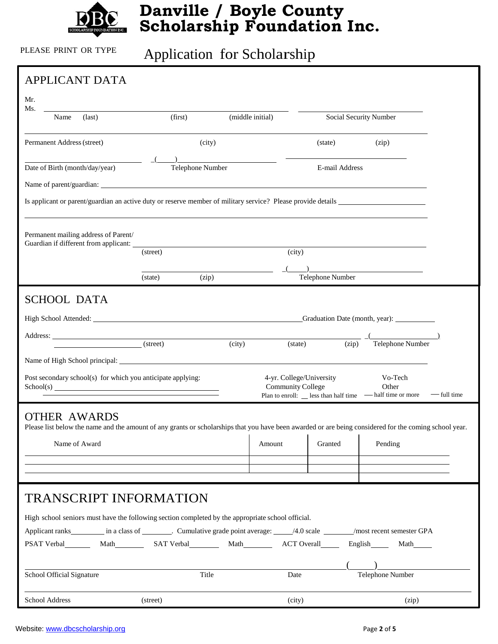

# PLEASE PRINT OR TYPE Application for Scholarship

| <b>APPLICANT DATA</b>                                                                                                                                  |                             |                  |                                                      |                        |                                                                                           |             |
|--------------------------------------------------------------------------------------------------------------------------------------------------------|-----------------------------|------------------|------------------------------------------------------|------------------------|-------------------------------------------------------------------------------------------|-------------|
| Mr.                                                                                                                                                    |                             |                  |                                                      |                        |                                                                                           |             |
| Ms.<br>$\text{(last)}$<br>Name                                                                                                                         | (first)<br>(middle initial) |                  |                                                      | Social Security Number |                                                                                           |             |
| Permanent Address (street)                                                                                                                             |                             | (city)           |                                                      | (state)                | (zip)                                                                                     |             |
|                                                                                                                                                        |                             |                  |                                                      |                        |                                                                                           |             |
| Date of Birth (month/day/year)                                                                                                                         |                             | Telephone Number |                                                      | E-mail Address         |                                                                                           |             |
|                                                                                                                                                        |                             |                  |                                                      |                        |                                                                                           |             |
|                                                                                                                                                        |                             |                  |                                                      |                        |                                                                                           |             |
| Permanent mailing address of Parent/                                                                                                                   |                             |                  |                                                      |                        |                                                                                           |             |
|                                                                                                                                                        | (street)                    |                  | (city)                                               |                        |                                                                                           |             |
|                                                                                                                                                        |                             |                  |                                                      | Telephone Number       | <u> 1989 - Johann Harrison, fransk politik (d. 1989)</u>                                  |             |
|                                                                                                                                                        | (state)                     | (zip)            |                                                      |                        |                                                                                           |             |
| <b>SCHOOL DATA</b>                                                                                                                                     |                             |                  |                                                      |                        |                                                                                           |             |
| High School Attended: Craduation Date (month, year): Craduation Date (month, year):                                                                    |                             |                  |                                                      |                        |                                                                                           |             |
|                                                                                                                                                        |                             | (city)           | (state)                                              | (zip)                  | Telephone Number                                                                          |             |
|                                                                                                                                                        |                             |                  |                                                      |                        |                                                                                           |             |
| Post secondary school(s) for which you anticipate applying:                                                                                            |                             |                  | 4-yr. College/University<br><b>Community College</b> |                        | Vo-Tech<br>Other<br>Plan to enroll: $\_\_\$ less than half time $\_\_\$ half time or more | — full time |
| <b>OTHER AWARDS</b>                                                                                                                                    |                             |                  |                                                      |                        |                                                                                           |             |
| Please list below the name and the amount of any grants or scholarships that you have been awarded or are being considered for the coming school year. |                             |                  |                                                      |                        |                                                                                           |             |
| Name of Award                                                                                                                                          |                             |                  | Amount                                               | Granted                | Pending                                                                                   |             |
|                                                                                                                                                        |                             |                  |                                                      |                        |                                                                                           |             |
|                                                                                                                                                        |                             |                  |                                                      |                        |                                                                                           |             |
| <b>TRANSCRIPT INFORMATION</b>                                                                                                                          |                             |                  |                                                      |                        |                                                                                           |             |
| High school seniors must have the following section completed by the appropriate school official.                                                      |                             |                  |                                                      |                        |                                                                                           |             |
| Applicant ranks in a class of Cumulative grade point average: 4.0 scale may nost recent semester GPA                                                   |                             |                  |                                                      |                        | Math                                                                                      |             |
|                                                                                                                                                        |                             |                  |                                                      |                        |                                                                                           |             |
| School Official Signature                                                                                                                              |                             | Title            | Date                                                 |                        | Telephone Number                                                                          |             |
| School Address                                                                                                                                         | (street)                    |                  | (city)                                               |                        | (zip)                                                                                     |             |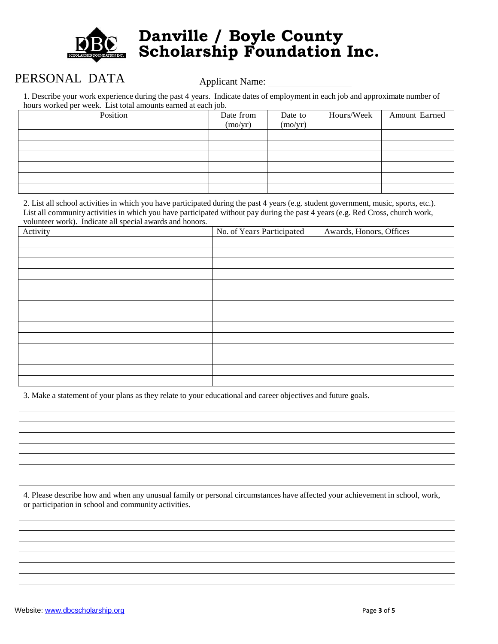

### PERSONAL DATA Applicant Name: 1997

1. Describe your work experience during the past 4 years. Indicate dates of employment in each job and approximate number of hours worked per week. List total amounts earned at each job.

| hours worked per week. Enst tour amounts carned at each job. |           |         |            |               |  |  |
|--------------------------------------------------------------|-----------|---------|------------|---------------|--|--|
| Position                                                     | Date from | Date to | Hours/Week | Amount Earned |  |  |
|                                                              | (mo/yr)   | (mo/yr) |            |               |  |  |
|                                                              |           |         |            |               |  |  |
|                                                              |           |         |            |               |  |  |
|                                                              |           |         |            |               |  |  |
|                                                              |           |         |            |               |  |  |
|                                                              |           |         |            |               |  |  |
|                                                              |           |         |            |               |  |  |

2. List all school activities in which you have participated during the past 4 years (e.g. student government, music, sports, etc.). List all community activities in which you have participated without pay during the past 4 years (e.g. Red Cross, church work, volunteer work). Indicate all special awards and honors.

| Activity | No. of Years Participated | Awards, Honors, Offices |  |  |
|----------|---------------------------|-------------------------|--|--|
|          |                           |                         |  |  |
|          |                           |                         |  |  |
|          |                           |                         |  |  |
|          |                           |                         |  |  |
|          |                           |                         |  |  |
|          |                           |                         |  |  |
|          |                           |                         |  |  |
|          |                           |                         |  |  |
|          |                           |                         |  |  |
|          |                           |                         |  |  |
|          |                           |                         |  |  |
|          |                           |                         |  |  |
|          |                           |                         |  |  |
|          |                           |                         |  |  |

3. Make a statement of your plans as they relate to your educational and career objectives and future goals.

4. Please describe how and when any unusual family or personal circumstances have affected your achievement in school, work, or participation in school and community activities.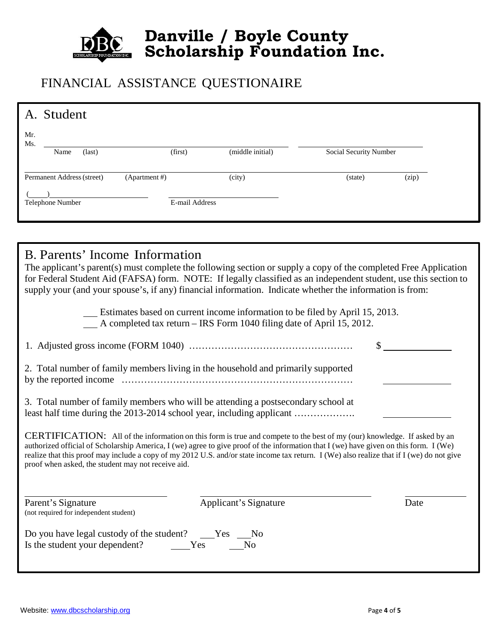

#### FINANCIAL ASSISTANCE QUESTIONAIRE

| A. Student                                                                                                                                                                                                                                                                         |                                                    |                                                                                                                                                       |                        |       |  |  |
|------------------------------------------------------------------------------------------------------------------------------------------------------------------------------------------------------------------------------------------------------------------------------------|----------------------------------------------------|-------------------------------------------------------------------------------------------------------------------------------------------------------|------------------------|-------|--|--|
| Mr.                                                                                                                                                                                                                                                                                |                                                    |                                                                                                                                                       |                        |       |  |  |
| Ms.<br>Name<br>(last)                                                                                                                                                                                                                                                              | (first)                                            | (middle initial)                                                                                                                                      | Social Security Number |       |  |  |
|                                                                                                                                                                                                                                                                                    |                                                    |                                                                                                                                                       |                        |       |  |  |
| Permanent Address (street)<br>(Apartment#)                                                                                                                                                                                                                                         |                                                    | (city)                                                                                                                                                | (state)                | (zip) |  |  |
| Telephone Number                                                                                                                                                                                                                                                                   | E-mail Address                                     |                                                                                                                                                       |                        |       |  |  |
|                                                                                                                                                                                                                                                                                    |                                                    |                                                                                                                                                       |                        |       |  |  |
|                                                                                                                                                                                                                                                                                    |                                                    |                                                                                                                                                       |                        |       |  |  |
|                                                                                                                                                                                                                                                                                    |                                                    |                                                                                                                                                       |                        |       |  |  |
| B. Parents' Income Information                                                                                                                                                                                                                                                     |                                                    |                                                                                                                                                       |                        |       |  |  |
| The applicant's parent(s) must complete the following section or supply a copy of the completed Free Application<br>for Federal Student Aid (FAFSA) form. NOTE: If legally classified as an independent student, use this section to                                               |                                                    |                                                                                                                                                       |                        |       |  |  |
| supply your (and your spouse's, if any) financial information. Indicate whether the information is from:                                                                                                                                                                           |                                                    |                                                                                                                                                       |                        |       |  |  |
|                                                                                                                                                                                                                                                                                    |                                                    |                                                                                                                                                       |                        |       |  |  |
|                                                                                                                                                                                                                                                                                    |                                                    | Estimates based on current income information to be filed by April 15, 2013.<br>A completed tax return - IRS Form 1040 filing date of April 15, 2012. |                        |       |  |  |
|                                                                                                                                                                                                                                                                                    |                                                    |                                                                                                                                                       |                        |       |  |  |
|                                                                                                                                                                                                                                                                                    |                                                    |                                                                                                                                                       |                        |       |  |  |
| 2. Total number of family members living in the household and primarily supported                                                                                                                                                                                                  |                                                    |                                                                                                                                                       |                        |       |  |  |
|                                                                                                                                                                                                                                                                                    |                                                    |                                                                                                                                                       |                        |       |  |  |
|                                                                                                                                                                                                                                                                                    |                                                    |                                                                                                                                                       |                        |       |  |  |
| 3. Total number of family members who will be attending a postsecondary school at<br>least half time during the 2013-2014 school year, including applicant                                                                                                                         |                                                    |                                                                                                                                                       |                        |       |  |  |
|                                                                                                                                                                                                                                                                                    |                                                    |                                                                                                                                                       |                        |       |  |  |
| <b>CERTIFICATION:</b> All of the information on this form is true and compete to the best of my (our) knowledge. If asked by an                                                                                                                                                    |                                                    |                                                                                                                                                       |                        |       |  |  |
| authorized official of Scholarship America, I (we) agree to give proof of the information that I (we) have given on this form. I (We)<br>realize that this proof may include a copy of my 2012 U.S. and/or state income tax return. I (We) also realize that if I (we) do not give |                                                    |                                                                                                                                                       |                        |       |  |  |
|                                                                                                                                                                                                                                                                                    | proof when asked, the student may not receive aid. |                                                                                                                                                       |                        |       |  |  |
|                                                                                                                                                                                                                                                                                    |                                                    |                                                                                                                                                       |                        |       |  |  |
|                                                                                                                                                                                                                                                                                    |                                                    |                                                                                                                                                       |                        |       |  |  |
| Parent's Signature<br>(not required for independent student)                                                                                                                                                                                                                       |                                                    | <b>Applicant's Signature</b>                                                                                                                          |                        | Date  |  |  |
|                                                                                                                                                                                                                                                                                    |                                                    |                                                                                                                                                       |                        |       |  |  |
| Do you have legal custody of the student? ____Yes                                                                                                                                                                                                                                  |                                                    | N <sub>o</sub>                                                                                                                                        |                        |       |  |  |
| Is the student your dependent?                                                                                                                                                                                                                                                     | Yes                                                | No                                                                                                                                                    |                        |       |  |  |